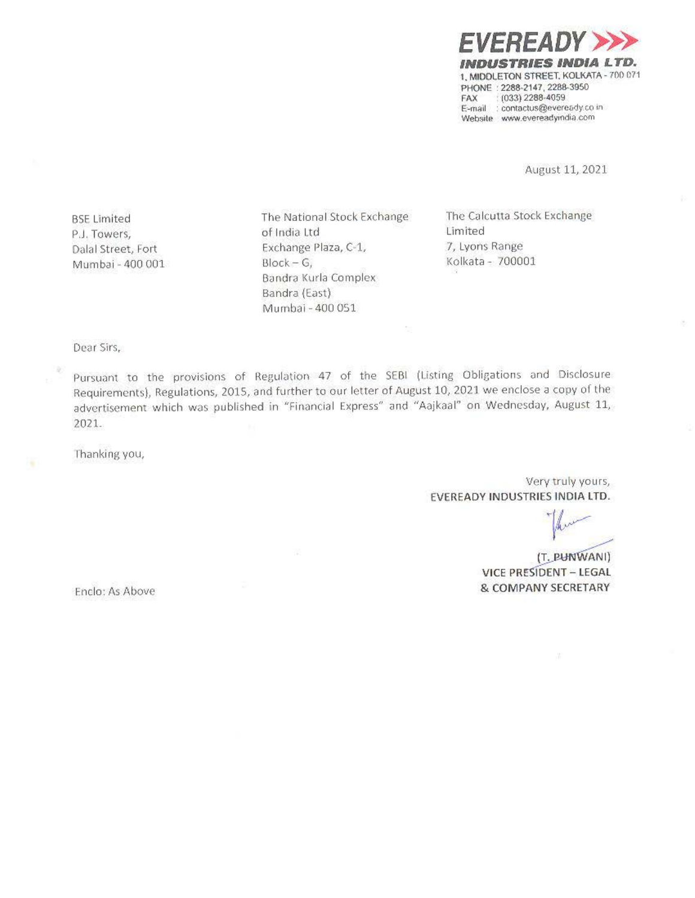

August 11, 2021

BSE Limited P.J. Towers, Dalal Street, Fort Mumbai - 400 001 The National Stock Exchange of India Ltd Exchange Plaza, C-1,  $Block - G$ Bandra Kurla Complex Bandra (East) Murnbai • 400 051

The Calcutta Stock Exchange Limited 7, Lyons Range Kolkata - 700001

**Dear Sirs,** 

Pursuant to the provisions of Regulation 47 of the SEBI (Listing Obligations and Disclosure Requirements), Regulations, 2015, and further to our letter of August 10, 2021 we enclose a copy of the advertisement which was published in "Financial Express" and "Aajkaal" on Wednesday, August 11, 2021.

Thanking you,

Very truly yours, EVEREADY INDUSTRIES INDIA LTD.

*r* truly your<br>**s INDIA LTI**<br> *A* 

æ,

(T. PUNWANI) VICE PRESIDENT - LEGAL **& COMPANY SECRETARY** 

Enclo: As Above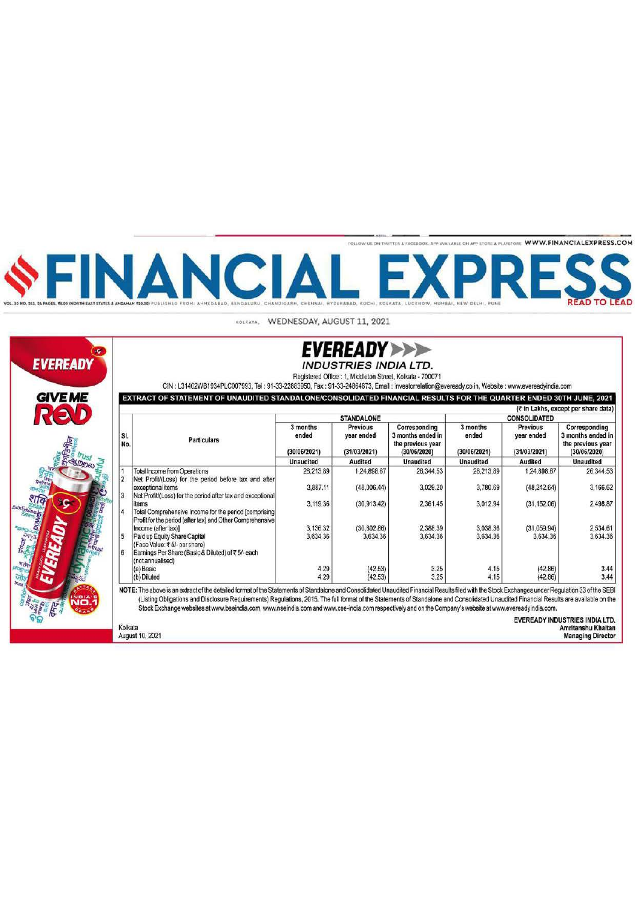FOLLOW US ON TWITTER & FACEBOOK, APP AVAILABLE ON APP STORE & PLAYSTORE WWW.FINANCIALEXPRESS.COM

NANCIA F) XPI

KOLKATA, WEDNESDAY, AUGUST 11, 2021



Kolkata

August 10, 2021

| <b>EVEREADY&gt;</b>   |  |
|-----------------------|--|
| INDUSTRIES INDIA LTD. |  |

Registered Office : 1, Middleton Street, Kolkata - 700071

CIN: L31402WB1934PLC007993, Tel: 91-33-22883950, Fax: 91-33-24864673, Email: Investorrelation@eveready.co.in, Website: www.evereadyindia.com

EXTRACT OF STATEMENT OF UNAUDITED STANDALONE/CONSOLIDATED FINANCIAL RESULTS FOR THE QUARTER ENDED 30TH JUNE, 2021 (₹ in Lakhs, except per share data)

| SI.<br>No.    | <b>Particulars</b>                                                                                                                       | <b>STANDALONE</b>                 |                                               |                                                                         | <b>CONSOLIDATED</b>               |                                               |                                                                         |
|---------------|------------------------------------------------------------------------------------------------------------------------------------------|-----------------------------------|-----------------------------------------------|-------------------------------------------------------------------------|-----------------------------------|-----------------------------------------------|-------------------------------------------------------------------------|
|               |                                                                                                                                          | 3 months<br>ended<br>(30/06/2021) | <b>Previous</b><br>year ended<br>(31/03/2021) | Corresponding<br>3 months ended in<br>the previous year<br>(30/06/2020) | 3 months<br>ended<br>(30/06/2021) | <b>Previous</b><br>year ended<br>(31/03/2021) | Corresponding<br>3 months ended in<br>the previous year<br>(30/06/2020) |
|               |                                                                                                                                          | <b>Unaudited</b>                  | <b>Audited</b>                                | <b>Unaudited</b>                                                        | <b>Unaudited</b>                  | Audited                                       | <b>Unaudited</b>                                                        |
|               | <b>Total Income from Operations</b>                                                                                                      | 28,213.89                         | 1,24,898.67                                   | 26,344.53                                                               | 28,213.89                         | 1.24,898.67                                   | 26,344.53                                                               |
|               | Net Profit/(Loss) for the period before tax and after<br>exceptional items<br>Net Profit/(Loss) for the period after tax and exceptional | 3,887.11                          | (48,006,44)                                   | 3,029.20                                                                | 3,780.69                          | (48.242.64)                                   | 3.166.62                                                                |
|               | items                                                                                                                                    | 3,119.36                          | (30.913.42)                                   | 2,361.45                                                                | 3,012.94                          | (31, 152.06)                                  | 2,498.87                                                                |
| $\frac{1}{4}$ | Total Comprehensive Income for the period [comprising]<br>Profit for the period (after tax) and Other Comprehensive                      | 3,136.32                          | (30.802.86)                                   | 2,388.39                                                                | 3,038.36                          |                                               | 2.534.61                                                                |
| 5             | Income (after tax)]                                                                                                                      | 3.634.36                          | 3,634.36                                      | 3,634.36                                                                | 3.634.36                          | (31,059.94)<br>3.634.36                       | 3.634.36                                                                |
|               | Paid up Equity Share Capital<br>(Face Value: ₹5/- per share)                                                                             |                                   |                                               |                                                                         |                                   |                                               |                                                                         |
| 6             | Earnings Per Share (Basic & Diluted) of ₹5/-each<br>(not annualised)                                                                     |                                   |                                               |                                                                         |                                   |                                               |                                                                         |
|               | (a) Basic                                                                                                                                | 4.29                              | (42.53)                                       | 3.25                                                                    | 4.15                              | (42.86)                                       | 3.44                                                                    |
|               | (b) Diluted                                                                                                                              | 4.29                              | (42.53)                                       | 3.25                                                                    | 4.15                              | (42.86)                                       | 3.44                                                                    |

NOTE: The above is an extract of the detailed format of the Statements of Standalone and Consolidated Unaudited Financial Results filed with the Stock Exchanges under Regulation 33 of the SEBI (Listing Obligations and Disclosure Requirements) Regulations, 2015. The full format of the Statements of Standalone and Consolidated Unaudited Financial Results are available on the Stock Exchange websites at www.bseindia.com, www.nseindia.com and www.cse-india.com respectively and on the Company's website at www.evereadyindia.com.

> **EVEREADY INDUSTRIES INDIA LTD.** Amritanshu Khaitan<br>Managing Director